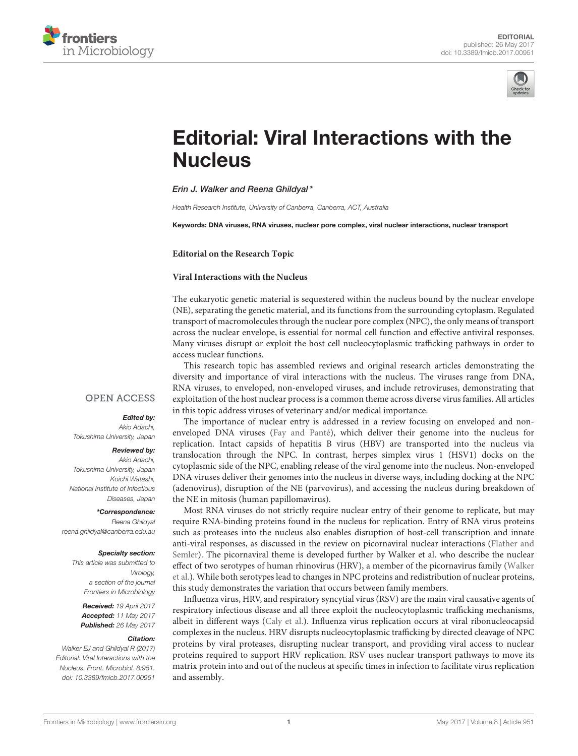



# [Editorial: Viral Interactions with the](http://journal.frontiersin.org/article/10.3389/fmicb.2017.00951/full) **Nucleus**

# [Erin J. Walker](http://loop.frontiersin.org/people/149206/overview) and [Reena Ghildyal\\*](http://loop.frontiersin.org/people/64531/overview)

*Health Research Institute, University of Canberra, Canberra, ACT, Australia*

Keywords: DNA viruses, RNA viruses, nuclear pore complex, viral nuclear interactions, nuclear transport

# **Editorial on the Research Topic**

# **[Viral Interactions with the Nucleus](http://journal.frontiersin.org/researchtopic/2894/viral-interactions-with-the-nucleus)**

The eukaryotic genetic material is sequestered within the nucleus bound by the nuclear envelope (NE), separating the genetic material, and its functions from the surrounding cytoplasm. Regulated transport of macromolecules through the nuclear pore complex (NPC), the only means of transport across the nuclear envelope, is essential for normal cell function and effective antiviral responses. Many viruses disrupt or exploit the host cell nucleocytoplasmic trafficking pathways in order to access nuclear functions.

This research topic has assembled reviews and original research articles demonstrating the diversity and importance of viral interactions with the nucleus. The viruses range from DNA, RNA viruses, to enveloped, non-enveloped viruses, and include retroviruses, demonstrating that exploitation of the host nuclear process is a common theme across diverse virus families. All articles in this topic address viruses of veterinary and/or medical importance.

# **OPEN ACCESS**

# Edited by:

*Akio Adachi, Tokushima University, Japan*

#### Reviewed by:

*Akio Adachi, Tokushima University, Japan Koichi Watashi, National Institute of Infectious Diseases, Japan*

### \*Correspondence:

*Reena Ghildyal [reena.ghildyal@canberra.edu.au](mailto:reena.ghildyal@canberra.edu.au)*

#### Specialty section:

*This article was submitted to Virology, a section of the journal Frontiers in Microbiology*

Received: *19 April 2017* Accepted: *11 May 2017* Published: *26 May 2017*

#### Citation:

*Walker EJ and Ghildyal R (2017) Editorial: Viral Interactions with the Nucleus. Front. Microbiol. 8:951. doi: [10.3389/fmicb.2017.00951](https://doi.org/10.3389/fmicb.2017.00951)*

The importance of nuclear entry is addressed in a review focusing on enveloped and nonenveloped DNA viruses [\(Fay and Panté\)](https://doi.org/10.3389/fmicb.2015.00467), which deliver their genome into the nucleus for replication. Intact capsids of hepatitis B virus (HBV) are transported into the nucleus via translocation through the NPC. In contrast, herpes simplex virus 1 (HSV1) docks on the cytoplasmic side of the NPC, enabling release of the viral genome into the nucleus. Non-enveloped DNA viruses deliver their genomes into the nucleus in diverse ways, including docking at the NPC (adenovirus), disruption of the NE (parvovirus), and accessing the nucleus during breakdown of the NE in mitosis (human papillomavirus).

Most RNA viruses do not strictly require nuclear entry of their genome to replicate, but may require RNA-binding proteins found in the nucleus for replication. Entry of RNA virus proteins such as proteases into the nucleus also enables disruption of host-cell transcription and innate [anti-viral responses, as discussed in the review on picornaviral nuclear interactions \(Flather and](https://doi.org/10.3389/fmicb.2015.00594) Semler). The picornaviral theme is developed further by Walker et al. who describe the nuclear [effect of two serotypes of human rhinovirus \(HRV\), a member of the picornavirus family \(Walker](https://doi.org/10.3389/fmicb.2015.00875) et al.). While both serotypes lead to changes in NPC proteins and redistribution of nuclear proteins, this study demonstrates the variation that occurs between family members.

Influenza virus, HRV, and respiratory syncytial virus (RSV) are the main viral causative agents of respiratory infectious disease and all three exploit the nucleocytoplasmic trafficking mechanisms, albeit in different ways [\(Caly et al.\)](https://doi.org/10.3389/fmicb.2015.00848). Influenza virus replication occurs at viral ribonucleocapsid complexes in the nucleus. HRV disrupts nucleocytoplasmic trafficking by directed cleavage of NPC proteins by viral proteases, disrupting nuclear transport, and providing viral access to nuclear proteins required to support HRV replication. RSV uses nuclear transport pathways to move its matrix protein into and out of the nucleus at specific times in infection to facilitate virus replication and assembly.